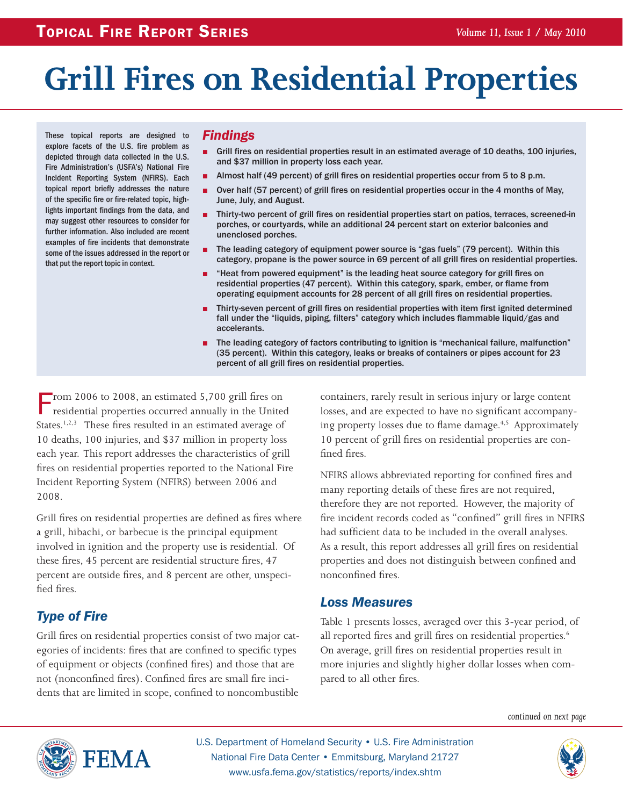# **Grill Fires on Residential Properties**

These topical reports are designed to explore facets of the U.S. fire problem as depicted through data collected in the U.S. Fire Administration's (USFA's) National Fire Incident Reporting System (NFIRS). Each topical report briefly addresses the nature of the specific fire or fire-related topic, highlights important findings from the data, and may suggest other resources to consider for further information. Also included are recent examples of fire incidents that demonstrate some of the issues addressed in the report or that put the report topic in context.

#### *Findings*

- Grill fires on residential properties result in an estimated average of 10 deaths, 100 injuries, and \$37 million in property loss each year.
- Almost half (49 percent) of grill fires on residential properties occur from 5 to 8 p.m.
- Over half (57 percent) of grill fires on residential properties occur in the 4 months of May, June, July, and August.
- Thirty-two percent of grill fires on residential properties start on patios, terraces, screened-in porches, or courtyards, while an additional 24 percent start on exterior balconies and unenclosed porches.
- The leading category of equipment power source is "gas fuels" (79 percent). Within this category, propane is the power source in 69 percent of all grill fires on residential properties.
- "Heat from powered equipment" is the leading heat source category for grill fires on residential properties (47 percent). Within this category, spark, ember, or flame from operating equipment accounts for 28 percent of all grill fires on residential properties.
- Thirty-seven percent of grill fires on residential properties with item first ignited determined fall under the "liquids, piping, filters" category which includes flammable liquid/gas and accelerants.
- The leading category of factors contributing to ignition is "mechanical failure, malfunction" (35 percent). Within this category, leaks or breaks of containers or pipes account for 23 percent of all grill fires on residential properties.

From 2006 to 2008, an estimated 5,700 grill fires on residential properties occurred annually in the United States.<sup>1,2,3</sup> These fires resulted in an estimated average of 10 deaths, 100 injuries, and \$37 million in property loss each year. This report addresses the characteristics of grill fires on residential properties reported to the National Fire Incident Reporting System (NFIRS) between 2006 and 2008.

Grill fires on residential properties are defined as fires where a grill, hibachi, or barbecue is the principal equipment involved in ignition and the property use is residential. Of these fires, 45 percent are residential structure fires, 47 percent are outside fires, and 8 percent are other, unspecified fires.

# *Type of Fire*

Grill fires on residential properties consist of two major categories of incidents: fires that are confined to specific types of equipment or objects (confined fires) and those that are not (nonconfined fires). Confined fires are small fire incidents that are limited in scope, confined to noncombustible containers, rarely result in serious injury or large content losses, and are expected to have no significant accompanying property losses due to flame damage.<sup>4,5</sup> Approximately 10 percent of grill fires on residential properties are confined fires.

NFIRS allows abbreviated reporting for confined fires and many reporting details of these fires are not required, therefore they are not reported. However, the majority of fire incident records coded as "confined" grill fires in NFIRS had sufficient data to be included in the overall analyses. As a result, this report addresses all grill fires on residential properties and does not distinguish between confined and nonconfined fires.

#### *Loss Measures*

Table 1 presents losses, averaged over this 3-year period, of all reported fires and grill fires on residential properties.<sup>6</sup> On average, grill fires on residential properties result in more injuries and slightly higher dollar losses when compared to all other fires.

*continued on next page*



U.S. Department of Homeland Security • U.S. Fire Administration National Fire Data Center • Emmitsburg, Maryland 21727 www.usfa.fema.gov/statistics/reports/index.shtm

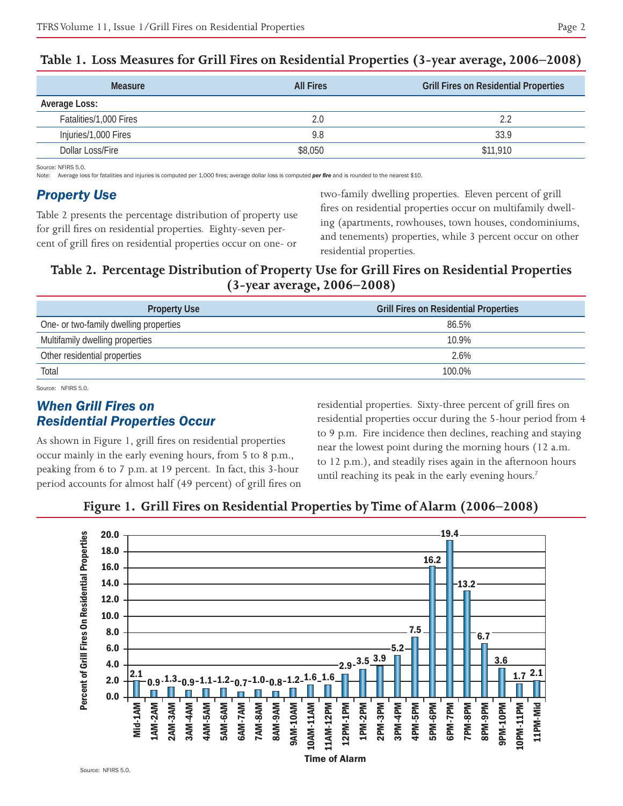| <b>Measure</b>         | <b>All Fires</b> | <b>Grill Fires on Residential Properties</b> |
|------------------------|------------------|----------------------------------------------|
| Average Loss:          |                  |                                              |
| Fatalities/1,000 Fires | 2.0              | 2.2                                          |
| Injuries/1,000 Fires   | 9.8              | 33.9                                         |
| Dollar Loss/Fire       | \$8,050          | \$11,910                                     |

#### **Table 1. Loss Measures for Grill Fires on Residential Properties (3-year average, 2006–2008)**

Source: NFIRS 5.0.

Note: Average loss for fatalities and injuries is computed per 1,000 fires; average dollar loss is computed *per fire* and is rounded to the nearest \$10.

## *Property Use*

Table 2 presents the percentage distribution of property use for grill fires on residential properties. Eighty-seven percent of grill fires on residential properties occur on one- or

two-family dwelling properties. Eleven percent of grill fires on residential properties occur on multifamily dwelling (apartments, rowhouses, town houses, condominiums, and tenements) properties, while 3 percent occur on other residential properties.

# **Table 2. Percentage Distribution of Property Use for Grill Fires on Residential Properties (3-year average, 2006–2008)**

| <b>Property Use</b>                    | <b>Grill Fires on Residential Properties</b> |
|----------------------------------------|----------------------------------------------|
| One- or two-family dwelling properties | 86.5%                                        |
| Multifamily dwelling properties        | 10.9%                                        |
| Other residential properties           | 2.6%                                         |
| Total                                  | 100.0%                                       |

Source: NFIRS 5.0.

# *When Grill Fires on Residential Properties Occur*

As shown in Figure 1, grill fires on residential properties occur mainly in the early evening hours, from 5 to 8 p.m., peaking from 6 to 7 p.m. at 19 percent. In fact, this 3-hour period accounts for almost half (49 percent) of grill fires on residential properties. Sixty-three percent of grill fires on residential properties occur during the 5-hour period from 4 to 9 p.m. Fire incidence then declines, reaching and staying near the lowest point during the morning hours (12 a.m. to 12 p.m.), and steadily rises again in the afternoon hours until reaching its peak in the early evening hours.<sup>7</sup>



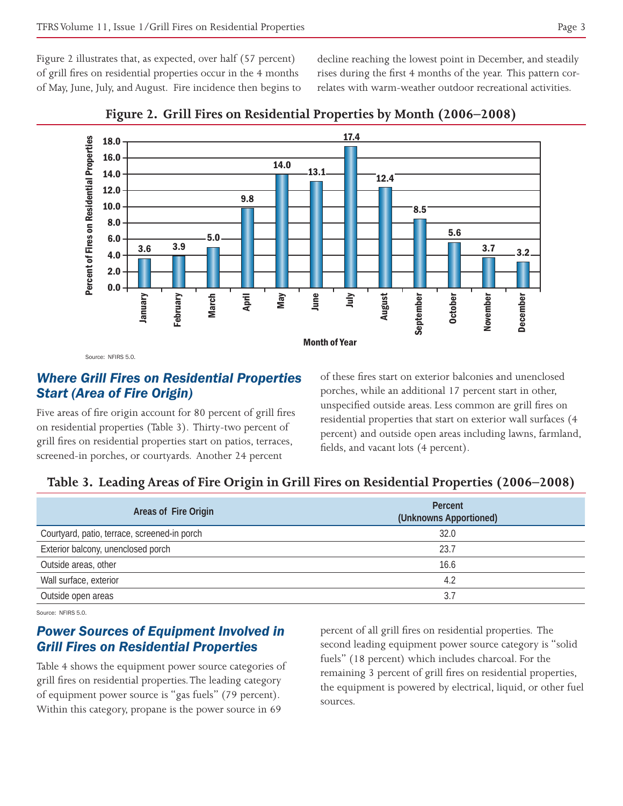Figure 2 illustrates that, as expected, over half (57 percent) of grill fires on residential properties occur in the 4 months of May, June, July, and August. Fire incidence then begins to decline reaching the lowest point in December, and steadily rises during the first 4 months of the year. This pattern correlates with warm-weather outdoor recreational activities.





Source: NFIRS 5.0

#### *Where Grill Fires on Residential Properties Start (Area of Fire Origin)*

Five areas of fire origin account for 80 percent of grill fires on residential properties (Table 3). Thirty-two percent of grill fires on residential properties start on patios, terraces, screened-in porches, or courtyards. Another 24 percent

of these fires start on exterior balconies and unenclosed porches, while an additional 17 percent start in other, unspecified outside areas. Less common are grill fires on residential properties that start on exterior wall surfaces (4 percent) and outside open areas including lawns, farmland, fields, and vacant lots (4 percent).

# **Table 3. Leading Areas of Fire Origin in Grill Fires on Residential Properties (2006–2008)**

| Areas of Fire Origin                         | Percent<br>(Unknowns Apportioned) |
|----------------------------------------------|-----------------------------------|
| Courtyard, patio, terrace, screened-in porch | 32.0                              |
| Exterior balcony, unenclosed porch           | 23.7                              |
| Outside areas, other                         | 16.6                              |
| Wall surface, exterior                       | 4.2                               |
| Outside open areas                           | 3.7                               |

Source: NFIRS 5.0.

### *Power Sources of Equipment Involved in Grill Fires on Residential Properties*

Table 4 shows the equipment power source categories of grill fires on residential properties. The leading category of equipment power source is "gas fuels" (79 percent). Within this category, propane is the power source in 69

percent of all grill fires on residential properties. The second leading equipment power source category is "solid fuels" (18 percent) which includes charcoal. For the remaining 3 percent of grill fires on residential properties, the equipment is powered by electrical, liquid, or other fuel sources.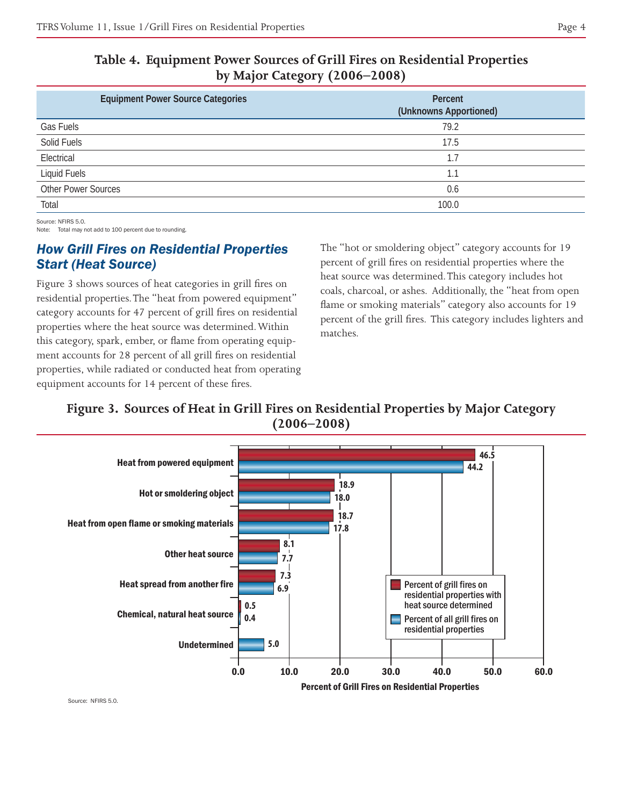|--|--|

| Table 4. Equipment Power Sources of Grill Fires on Residential Properties |
|---------------------------------------------------------------------------|
| by Major Category $(2006-2008)$                                           |

| <b>Equipment Power Source Categories</b> | Percent<br>(Unknowns Apportioned) |
|------------------------------------------|-----------------------------------|
| Gas Fuels                                | 79.2                              |
| Solid Fuels                              | 17.5                              |
| Electrical                               | 1.7                               |
| Liquid Fuels                             | 1.1                               |
| <b>Other Power Sources</b>               | 0.6                               |
| Total                                    | 100.0                             |

Source: NFIRS 5.0.

Note: Total may not add to 100 percent due to rounding.

# *How Grill Fires on Residential Properties Start (Heat Source)*

Figure 3 shows sources of heat categories in grill fires on residential properties. The "heat from powered equipment" category accounts for 47 percent of grill fires on residential properties where the heat source was determined. Within this category, spark, ember, or flame from operating equipment accounts for 28 percent of all grill fires on residential properties, while radiated or conducted heat from operating equipment accounts for 14 percent of these fires.

The "hot or smoldering object" category accounts for 19 percent of grill fires on residential properties where the heat source was determined. This category includes hot coals, charcoal, or ashes. Additionally, the "heat from open flame or smoking materials" category also accounts for 19 percent of the grill fires. This category includes lighters and matches.

# **Figure 3. Sources of Heat in Grill Fires on Residential Properties by Major Category (2006–2008)**



Source: NFIRS 5.0.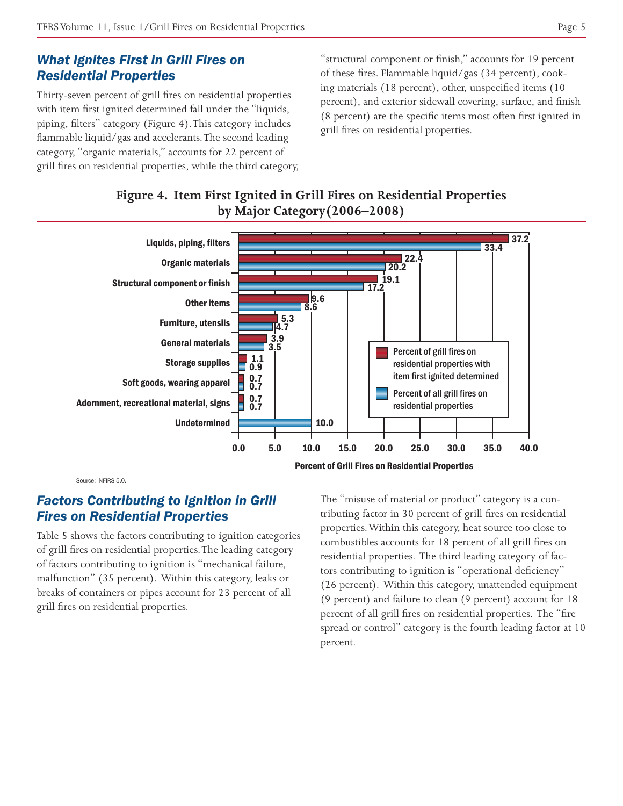## *What Ignites First in Grill Fires on Residential Properties*

Thirty-seven percent of grill fires on residential properties with item first ignited determined fall under the "liquids, piping, filters" category (Figure 4). This category includes flammable liquid/gas and accelerants. The second leading category, "organic materials," accounts for 22 percent of grill fires on residential properties, while the third category, "structural component or finish," accounts for 19 percent of these fires. Flammable liquid/gas (34 percent), cooking materials (18 percent), other, unspecified items (10 percent), and exterior sidewall covering, surface, and finish (8 percent) are the specific items most often first ignited in grill fires on residential properties.

# **Figure 4. Item First Ignited in Grill Fires on Residential Properties by Major Category(2006–2008)**



Source: NFIRS 5.0.

# *Factors Contributing to Ignition in Grill Fires on Residential Properties*

Table 5 shows the factors contributing to ignition categories of grill fires on residential properties. The leading category of factors contributing to ignition is "mechanical failure, malfunction" (35 percent). Within this category, leaks or breaks of containers or pipes account for 23 percent of all grill fires on residential properties.

The "misuse of material or product" category is a contributing factor in 30 percent of grill fires on residential properties. Within this category, heat source too close to combustibles accounts for 18 percent of all grill fires on residential properties. The third leading category of factors contributing to ignition is "operational deficiency" (26 percent). Within this category, unattended equipment (9 percent) and failure to clean (9 percent) account for 18 percent of all grill fires on residential properties. The "fire spread or control" category is the fourth leading factor at 10 percent.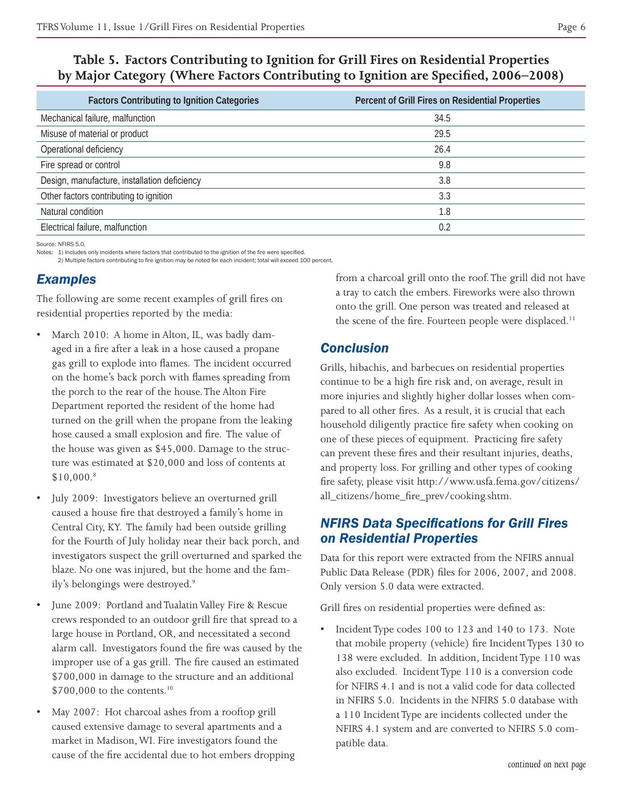# **Table 5. Factors Contributing to Ignition for Grill Fires on Residential Properties by Major Category (Where Factors Contributing to Ignition are Specified, 2006–2008)**

| <b>Factors Contributing to Ignition Categories</b> | Percent of Grill Fires on Residential Properties |
|----------------------------------------------------|--------------------------------------------------|
| Mechanical failure, malfunction                    | 34.5                                             |
| Misuse of material or product                      | 29.5                                             |
| Operational deficiency                             | 26.4                                             |
| Fire spread or control                             | 9.8                                              |
| Design, manufacture, installation deficiency       | 3.8                                              |
| Other factors contributing to ignition             | 3.3                                              |
| Natural condition                                  | 1.8                                              |
| Electrical failure, malfunction                    | 0.2                                              |

Source: NFIRS 5.0.

Notes: 1) Includes only incidents where factors that contributed to the ignition of the fire were specified.

2) Multiple factors contributing to fire ignition may be noted for each incident; total will exceed 100 percent.

# *Examples*

The following are some recent examples of grill fires on residential properties reported by the media:

- March 2010: A home in Alton, IL, was badly damaged in a fire after a leak in a hose caused a propane gas grill to explode into flames. The incident occurred on the home's back porch with flames spreading from the porch to the rear of the house. The Alton Fire Department reported the resident of the home had turned on the grill when the propane from the leaking hose caused a small explosion and fire. The value of the house was given as \$45,000. Damage to the structure was estimated at \$20,000 and loss of contents at \$10,000.8
- July 2009: Investigators believe an overturned grill caused a house fire that destroyed a family's home in Central City, KY. The family had been outside grilling for the Fourth of July holiday near their back porch, and investigators suspect the grill overturned and sparked the blaze. No one was injured, but the home and the family's belongings were destroyed.<sup>9</sup>
- June 2009: Portland and Tualatin Valley Fire & Rescue crews responded to an outdoor grill fire that spread to a large house in Portland, OR, and necessitated a second alarm call. Investigators found the fire was caused by the improper use of a gas grill. The fire caused an estimated \$700,000 in damage to the structure and an additional  $$700,000$  to the contents.<sup>10</sup>
- May 2007: Hot charcoal ashes from a rooftop grill caused extensive damage to several apartments and a market in Madison, WI. Fire investigators found the cause of the fire accidental due to hot embers dropping

from a charcoal grill onto the roof. The grill did not have a tray to catch the embers. Fireworks were also thrown onto the grill. One person was treated and released at the scene of the fire. Fourteen people were displaced.<sup>11</sup>

# *Conclusion*

Grills, hibachis, and barbecues on residential properties continue to be a high fire risk and, on average, result in more injuries and slightly higher dollar losses when compared to all other fires. As a result, it is crucial that each household diligently practice fire safety when cooking on one of these pieces of equipment. Practicing fire safety can prevent these fires and their resultant injuries, deaths, and property loss. For grilling and other types of cooking fire safety, please visit http://www.usfa.fema.gov/citizens/ all\_citizens/home\_fire\_prev/cooking.shtm.

# *NFIRS Data Specifications for Grill Fires on Residential Properties*

Data for this report were extracted from the NFIRS annual Public Data Release (PDR) files for 2006, 2007, and 2008. Only version 5.0 data were extracted.

Grill fires on residential properties were defined as:

Incident Type codes 100 to 123 and 140 to 173. Note that mobile property (vehicle) fire Incident Types 130 to 138 were excluded. In addition, Incident Type 110 was also excluded. Incident Type 110 is a conversion code for NFIRS 4.1 and is not a valid code for data collected in NFIRS 5.0. Incidents in the NFIRS 5.0 database with a 110 Incident Type are incidents collected under the NFIRS 4.1 system and are converted to NFIRS 5.0 compatible data.